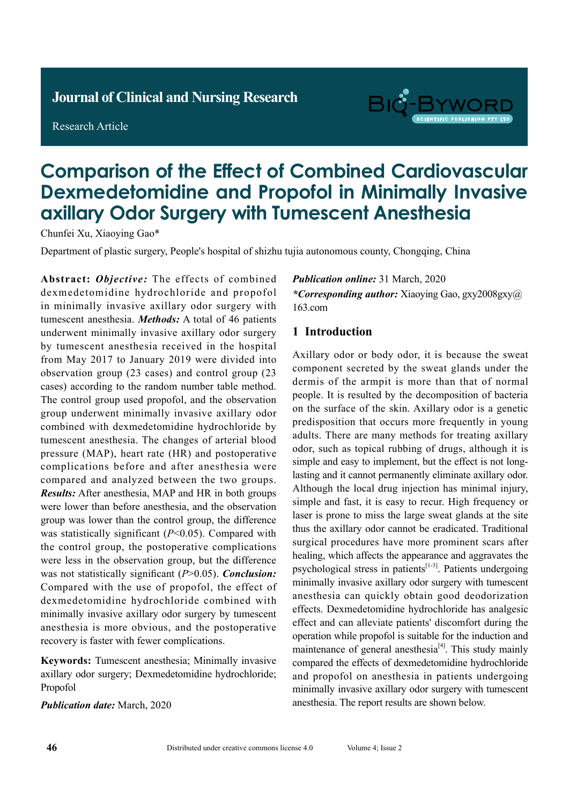# **Journal of Clinical and Nursing Research**

Research Article



# **Comparison of the Effect of Combined Cardiovascular Dexmedetomidine and Propofol in Minimally Invasive axillary Odor Surgery with Tumescent Anesthesia**

Chunfei Xu, Xiaoying Gao\*

Department of plastic surgery, People's hospital of shizhu tujia autonomous county, Chongqing, China

**Abstract:** *Objective:* The effects of combined dexmedetomidine hydrochloride and propofol in minimally invasive axillary odor surgery with tumescent anesthesia. *Methods:* A total of 46 patients underwent minimally invasive axillary odor surgery by tumescent anesthesia received in the hospital from May 2017 to January 2019 were divided into observation group (23 cases) and control group (23 cases) according to the random number table method. The control group used propofol, and the observation group underwent minimally invasive axillary odor combined with dexmedetomidine hydrochloride by tumescent anesthesia. The changes of arterial blood pressure (MAP), heart rate (HR) and postoperative complications before and after anesthesia were compared and analyzed between the two groups. *Results:* After anesthesia, MAP and HR in both groups were lower than before anesthesia, and the observation group was lower than the control group, the difference was statistically significant ( $P<0.05$ ). Compared with the control group, the postoperative complications were less in the observation group, but the difference was not statistically significant (*P*>0.05). *Conclusion:* Compared with the use of propofol, the effect of dexmedetomidine hydrochloride combined with minimally invasive axillary odor surgery by tumescent anesthesia is more obvious, and the postoperative recovery is faster with fewer complications.

**Keywords:** Tumescent anesthesia; Minimally invasive axillary odor surgery; Dexmedetomidine hydrochloride; Propofol

*Publication date:* March, 2020

*Publication online:* 31 March, 2020 *\*Corresponding author:* Xiaoying Gao, gxy2008gxy@ 163.com

# **1 Introduction**

Axillary odor or body odor, it is because the sweat component secreted by the sweat glands under the dermis of the armpit is more than that of normal people. It is resulted by the decomposition of bacteria on the surface of the skin. Axillary odor is a genetic predisposition that occurs more frequently in young adults. There are many methods for treating axillary odor, such as topical rubbing of drugs, although it is simple and easy to implement, but the effect is not longlasting and it cannot permanently eliminate axillary odor. Although the local drug injection has minimal injury, simple and fast, it is easy to recur. High frequency or laser is prone to miss the large sweat glands at the site thus the axillary odor cannot be eradicated. Traditional surgical procedures have more prominent scars after healing, which affects the appearance and aggravates the psychological stress in patients<sup>[1-3]</sup>. Patients undergoing minimally invasive axillary odor surgery with tumescent anesthesia can quickly obtain good deodorization effects. Dexmedetomidine hydrochloride has analgesic effect and can alleviate patients' discomfort during the operation while propofol is suitable for the induction and maintenance of general anesthesia $[4]$ . This study mainly compared the effects of dexmedetomidine hydrochloride and propofol on anesthesia in patients undergoing minimally invasive axillary odor surgery with tumescent anesthesia. The report results are shown below.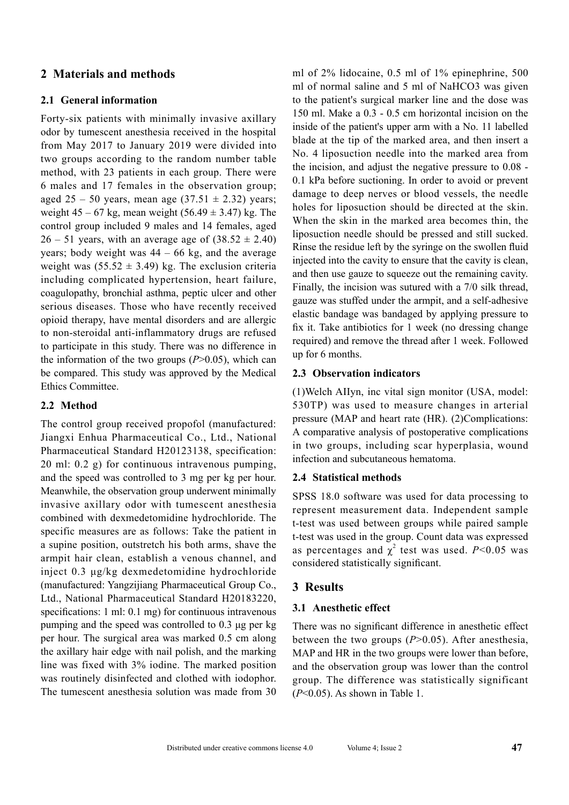# **2 Materials and methods**

#### **2.1 General information**

Forty-six patients with minimally invasive axillary odor by tumescent anesthesia received in the hospital from May 2017 to January 2019 were divided into two groups according to the random number table method, with 23 patients in each group. There were 6 males and 17 females in the observation group; aged 25 – 50 years, mean age  $(37.51 \pm 2.32)$  years; weight  $45 - 67$  kg, mean weight  $(56.49 \pm 3.47)$  kg. The control group included 9 males and 14 females, aged  $26 - 51$  years, with an average age of  $(38.52 \pm 2.40)$ years; body weight was  $44 - 66$  kg, and the average weight was  $(55.52 \pm 3.49)$  kg. The exclusion criteria including complicated hypertension, heart failure, coagulopathy, bronchial asthma, peptic ulcer and other serious diseases. Those who have recently received opioid therapy, have mental disorders and are allergic to non-steroidal anti-inflammatory drugs are refused to participate in this study. There was no difference in the information of the two groups (*P*>0.05), which can be compared. This study was approved by the Medical Ethics Committee.

# **2.2 Method**

The control group received propofol (manufactured: Jiangxi Enhua Pharmaceutical Co., Ltd., National Pharmaceutical Standard H20123138, specification: 20 ml: 0.2 g) for continuous intravenous pumping, and the speed was controlled to 3 mg per kg per hour. Meanwhile, the observation group underwent minimally invasive axillary odor with tumescent anesthesia combined with dexmedetomidine hydrochloride. The specific measures are as follows: Take the patient in a supine position, outstretch his both arms, shave the armpit hair clean, establish a venous channel, and inject 0.3 μg/kg dexmedetomidine hydrochloride (manufactured: Yangzijiang Pharmaceutical Group Co., Ltd., National Pharmaceutical Standard H20183220, specifications: 1 ml: 0.1 mg) for continuous intravenous pumping and the speed was controlled to 0.3 μg per kg per hour. The surgical area was marked 0.5 cm along the axillary hair edge with nail polish, and the marking line was fixed with 3% iodine. The marked position was routinely disinfected and clothed with iodophor. The tumescent anesthesia solution was made from 30 ml of 2% lidocaine, 0.5 ml of 1% epinephrine, 500 ml of normal saline and 5 ml of NaHCO3 was given to the patient's surgical marker line and the dose was 150 ml. Make a 0.3 - 0.5 cm horizontal incision on the inside of the patient's upper arm with a No. 11 labelled blade at the tip of the marked area, and then insert a No. 4 liposuction needle into the marked area from the incision, and adjust the negative pressure to 0.08 - 0.1 kPa before suctioning. In order to avoid or prevent damage to deep nerves or blood vessels, the needle holes for liposuction should be directed at the skin. When the skin in the marked area becomes thin, the liposuction needle should be pressed and still sucked. Rinse the residue left by the syringe on the swollen fluid injected into the cavity to ensure that the cavity is clean, and then use gauze to squeeze out the remaining cavity. Finally, the incision was sutured with a 7/0 silk thread, gauze was stuffed under the armpit, and a self-adhesive elastic bandage was bandaged by applying pressure to fix it. Take antibiotics for 1 week (no dressing change required) and remove the thread after 1 week. Followed up for 6 months.

# **2.3 Observation indicators**

(1)Welch AIIyn, inc vital sign monitor (USA, model: 530TP) was used to measure changes in arterial pressure (MAP and heart rate (HR). (2)Complications: A comparative analysis of postoperative complications in two groups, including scar hyperplasia, wound infection and subcutaneous hematoma.

#### **2.4 Statistical methods**

SPSS 18.0 software was used for data processing to represent measurement data. Independent sample t-test was used between groups while paired sample t-test was used in the group. Count data was expressed as percentages and  $\chi^2$  test was used. *P*<0.05 was considered statistically significant.

# **3 Results**

#### **3.1 Anesthetic effect**

There was no significant difference in anesthetic effect between the two groups (*P*>0.05). After anesthesia, MAP and HR in the two groups were lower than before, and the observation group was lower than the control group. The difference was statistically significant (*P*<0.05). As shown in Table 1.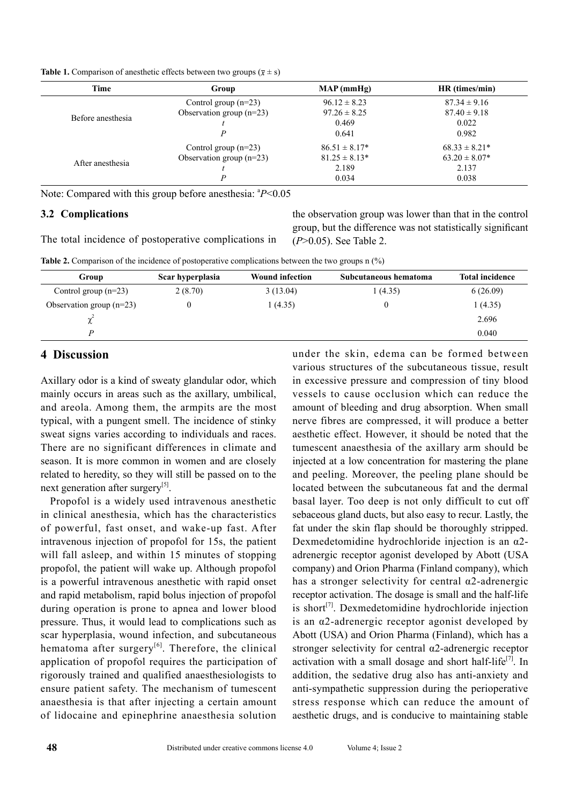| <b>Table 1.</b> Comparison of anesthetic effects between two groups ( $\bar{x} \pm s$ ) |  |  |
|-----------------------------------------------------------------------------------------|--|--|
|-----------------------------------------------------------------------------------------|--|--|

| <b>Time</b>       | Group                      | MAP(mmHg)         | HR (times/min)    |
|-------------------|----------------------------|-------------------|-------------------|
|                   | Control group $(n=23)$     | $96.12 \pm 8.23$  | $87.34 \pm 9.16$  |
| Before anesthesia | Observation group $(n=23)$ | $97.26 \pm 8.25$  | $87.40 \pm 9.18$  |
|                   |                            | 0.469             | 0.022             |
|                   | D                          | 0.641             | 0.982             |
|                   | Control group $(n=23)$     | $86.51 \pm 8.17*$ | $68.33 \pm 8.21*$ |
|                   | Observation group $(n=23)$ | $81.25 \pm 8.13*$ | $63.20 \pm 8.07*$ |
| After anesthesia  |                            | 2.189             | 2.137             |
|                   | P                          | 0.034             | 0.038             |

Note: Compared with this group before anesthesia:  $P<0.05$ 

#### **3.2 Complications**

The total incidence of postoperative complications in

the observation group was lower than that in the control group, but the difference was not statistically significant (*P*>0.05). See Table 2.

**Table 2.** Comparison of the incidence of postoperative complications between the two groups n (%)

| Group                      | Scar hyperplasia | <b>Wound infection</b> | Subcutaneous hematoma | <b>Total incidence</b> |
|----------------------------|------------------|------------------------|-----------------------|------------------------|
| Control group $(n=23)$     | 2(8.70)          | 3(13.04)               | 1(4.35)               | 6(26.09)               |
| Observation group $(n=23)$ |                  | 1(4.35)                |                       | 1(4.35)                |
| ∼                          |                  |                        |                       | 2.696                  |
|                            |                  |                        |                       | 0.040                  |

# **4 Discussion**

Axillary odor is a kind of sweaty glandular odor, which mainly occurs in areas such as the axillary, umbilical, and areola. Among them, the armpits are the most typical, with a pungent smell. The incidence of stinky sweat signs varies according to individuals and races. There are no significant differences in climate and season. It is more common in women and are closely related to heredity, so they will still be passed on to the next generation after surgery<sup>[5]</sup>.

Propofol is a widely used intravenous anesthetic in clinical anesthesia, which has the characteristics of powerful, fast onset, and wake-up fast. After intravenous injection of propofol for 15s, the patient will fall asleep, and within 15 minutes of stopping propofol, the patient will wake up. Although propofol is a powerful intravenous anesthetic with rapid onset and rapid metabolism, rapid bolus injection of propofol during operation is prone to apnea and lower blood pressure. Thus, it would lead to complications such as scar hyperplasia, wound infection, and subcutaneous hematoma after surgery<sup>[6]</sup>. Therefore, the clinical application of propofol requires the participation of rigorously trained and qualified anaesthesiologists to ensure patient safety. The mechanism of tumescent anaesthesia is that after injecting a certain amount of lidocaine and epinephrine anaesthesia solution

under the skin, edema can be formed between various structures of the subcutaneous tissue, result in excessive pressure and compression of tiny blood vessels to cause occlusion which can reduce the amount of bleeding and drug absorption. When small nerve fibres are compressed, it will produce a better aesthetic effect. However, it should be noted that the tumescent anaesthesia of the axillary arm should be injected at a low concentration for mastering the plane and peeling. Moreover, the peeling plane should be located between the subcutaneous fat and the dermal basal layer. Too deep is not only difficult to cut off sebaceous gland ducts, but also easy to recur. Lastly, the fat under the skin flap should be thoroughly stripped. Dexmedetomidine hydrochloride injection is an  $\alpha$ 2adrenergic receptor agonist developed by Abott (USA company) and Orion Pharma (Finland company), which has a stronger selectivity for central  $\alpha$ 2-adrenergic receptor activation. The dosage is small and the half-life is short $[7]$ . Dexmedetomidine hydrochloride injection is an α2-adrenergic receptor agonist developed by Abott (USA) and Orion Pharma (Finland), which has a stronger selectivity for central α2-adrenergic receptor activation with a small dosage and short half-life<sup>[7]</sup>. In addition, the sedative drug also has anti-anxiety and anti-sympathetic suppression during the perioperative stress response which can reduce the amount of aesthetic drugs, and is conducive to maintaining stable